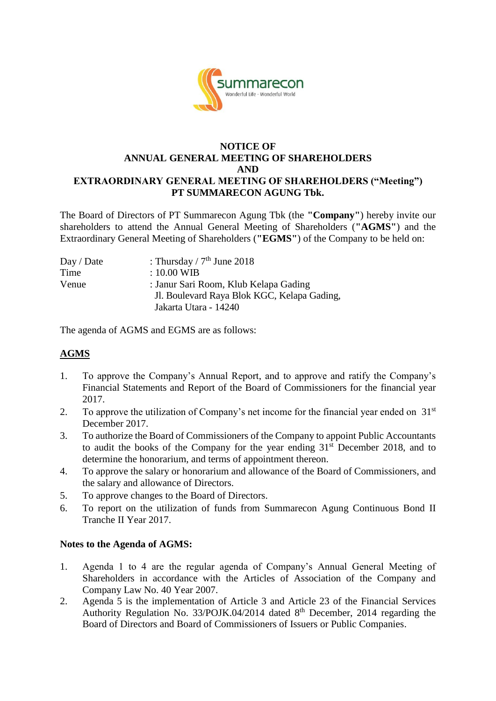

#### **NOTICE OF ANNUAL GENERAL MEETING OF SHAREHOLDERS AND EXTRAORDINARY GENERAL MEETING OF SHAREHOLDERS ("Meeting") PT SUMMARECON AGUNG Tbk.**

The Board of Directors of PT Summarecon Agung Tbk (the **"Company"**) hereby invite our shareholders to attend the Annual General Meeting of Shareholders (**"AGMS"**) and the Extraordinary General Meeting of Shareholders (**"EGMS"**) of the Company to be held on:

| : Thursday / $7th$ June 2018                |
|---------------------------------------------|
| $: 10.00 \text{ WIB}$                       |
| : Janur Sari Room, Klub Kelapa Gading       |
| Jl. Boulevard Raya Blok KGC, Kelapa Gading, |
| Jakarta Utara - 14240                       |
|                                             |

The agenda of AGMS and EGMS are as follows:

### **AGMS**

- 1. To approve the Company's Annual Report, and to approve and ratify the Company's Financial Statements and Report of the Board of Commissioners for the financial year 2017.
- 2. To approve the utilization of Company's net income for the financial year ended on  $31<sup>st</sup>$ December 2017.
- 3. To authorize the Board of Commissioners of the Company to appoint Public Accountants to audit the books of the Company for the year ending  $31<sup>st</sup>$  December 2018, and to determine the honorarium, and terms of appointment thereon.
- 4. To approve the salary or honorarium and allowance of the Board of Commissioners, and the salary and allowance of Directors.
- 5. To approve changes to the Board of Directors.
- 6. To report on the utilization of funds from Summarecon Agung Continuous Bond II Tranche II Year 2017.

#### **Notes to the Agenda of AGMS:**

- 1. Agenda 1 to 4 are the regular agenda of Company's Annual General Meeting of Shareholders in accordance with the Articles of Association of the Company and Company Law No. 40 Year 2007.
- 2. Agenda 5 is the implementation of Article 3 and Article 23 of the Financial Services Authority Regulation No. 33/POJK.04/2014 dated 8<sup>th</sup> December, 2014 regarding the Board of Directors and Board of Commissioners of Issuers or Public Companies.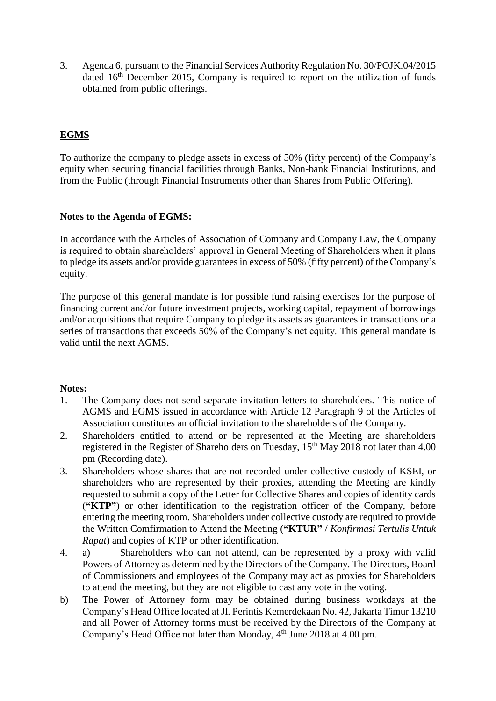3. Agenda 6, pursuant to the Financial Services Authority Regulation No. 30/POJK.04/2015 dated  $16<sup>th</sup>$  December 2015, Company is required to report on the utilization of funds obtained from public offerings.

## **EGMS**

To authorize the company to pledge assets in excess of 50% (fifty percent) of the Company's equity when securing financial facilities through Banks, Non-bank Financial Institutions, and from the Public (through Financial Instruments other than Shares from Public Offering).

#### **Notes to the Agenda of EGMS:**

In accordance with the Articles of Association of Company and Company Law, the Company is required to obtain shareholders' approval in General Meeting of Shareholders when it plans to pledge its assets and/or provide guarantees in excess of 50% (fifty percent) of the Company's equity.

The purpose of this general mandate is for possible fund raising exercises for the purpose of financing current and/or future investment projects, working capital, repayment of borrowings and/or acquisitions that require Company to pledge its assets as guarantees in transactions or a series of transactions that exceeds 50% of the Company's net equity. This general mandate is valid until the next AGMS.

#### **Notes:**

- 1. The Company does not send separate invitation letters to shareholders. This notice of AGMS and EGMS issued in accordance with Article 12 Paragraph 9 of the Articles of Association constitutes an official invitation to the shareholders of the Company.
- 2. Shareholders entitled to attend or be represented at the Meeting are shareholders registered in the Register of Shareholders on Tuesday,  $15<sup>th</sup>$  May 2018 not later than 4.00 pm (Recording date).
- 3. Shareholders whose shares that are not recorded under collective custody of KSEI, or shareholders who are represented by their proxies, attending the Meeting are kindly requested to submit a copy of the Letter for Collective Shares and copies of identity cards (**"KTP"**) or other identification to the registration officer of the Company, before entering the meeting room. Shareholders under collective custody are required to provide the Written Comfirmation to Attend the Meeting (**"KTUR"** / *Konfirmasi Tertulis Untuk Rapat*) and copies of KTP or other identification.
- 4. a) Shareholders who can not attend, can be represented by a proxy with valid Powers of Attorney as determined by the Directors of the Company. The Directors, Board of Commissioners and employees of the Company may act as proxies for Shareholders to attend the meeting, but they are not eligible to cast any vote in the voting.
- b) The Power of Attorney form may be obtained during business workdays at the Company's Head Office located at Jl. Perintis Kemerdekaan No. 42, Jakarta Timur 13210 and all Power of Attorney forms must be received by the Directors of the Company at Company's Head Office not later than Monday, 4<sup>th</sup> June 2018 at 4.00 pm.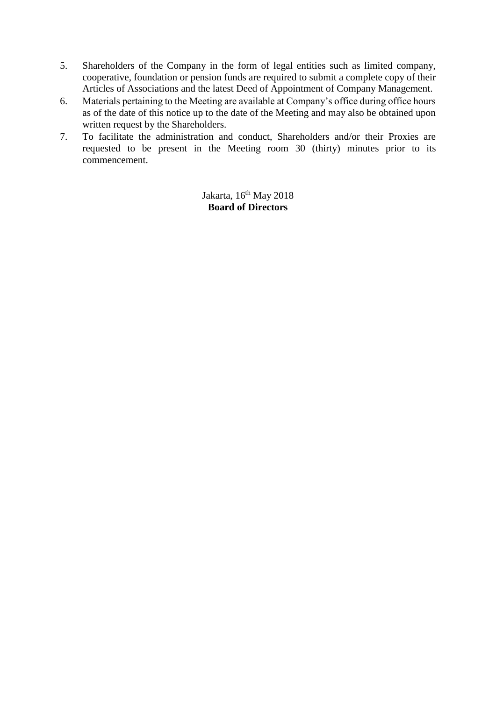- 5. Shareholders of the Company in the form of legal entities such as limited company, cooperative, foundation or pension funds are required to submit a complete copy of their Articles of Associations and the latest Deed of Appointment of Company Management.
- 6. Materials pertaining to the Meeting are available at Company's office during office hours as of the date of this notice up to the date of the Meeting and may also be obtained upon written request by the Shareholders.
- 7. To facilitate the administration and conduct, Shareholders and/or their Proxies are requested to be present in the Meeting room 30 (thirty) minutes prior to its commencement.

Jakarta, 16<sup>th</sup> May 2018 **Board of Directors**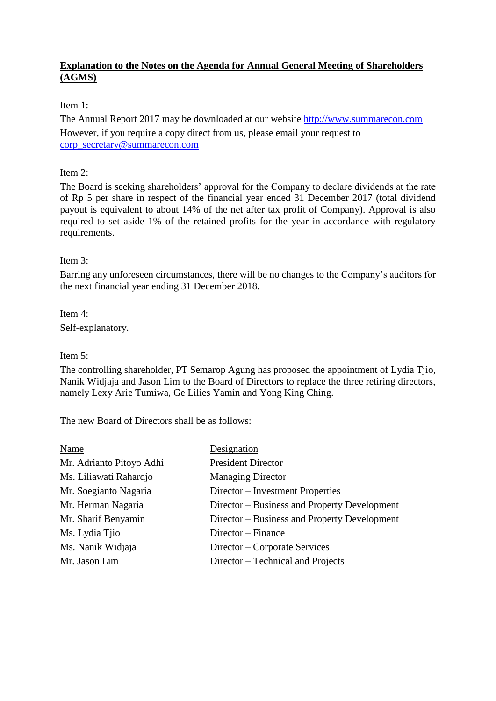#### **Explanation to the Notes on the Agenda for Annual General Meeting of Shareholders (AGMS)**

#### Item 1:

The Annual Report 2017 may be downloaded at our website [http://www.summarecon.com](http://www.summarecon.com/) However, if you require a copy direct from us, please email your request to [corp\\_secretary@summarecon.com](mailto:corp_secretary@summarecon.com)

#### Item 2:

The Board is seeking shareholders' approval for the Company to declare dividends at the rate of Rp 5 per share in respect of the financial year ended 31 December 2017 (total dividend payout is equivalent to about 14% of the net after tax profit of Company). Approval is also required to set aside 1% of the retained profits for the year in accordance with regulatory requirements.

#### Item 3:

Barring any unforeseen circumstances, there will be no changes to the Company's auditors for the next financial year ending 31 December 2018.

Item 4: Self-explanatory.

#### Item 5:

The controlling shareholder, PT Semarop Agung has proposed the appointment of Lydia Tjio, Nanik Widjaja and Jason Lim to the Board of Directors to replace the three retiring directors, namely Lexy Arie Tumiwa, Ge Lilies Yamin and Yong King Ching.

The new Board of Directors shall be as follows:

| Name                     | Designation                                  |
|--------------------------|----------------------------------------------|
| Mr. Adrianto Pitoyo Adhi | <b>President Director</b>                    |
| Ms. Liliawati Rahardjo   | <b>Managing Director</b>                     |
| Mr. Soegianto Nagaria    | Director – Investment Properties             |
| Mr. Herman Nagaria       | Director – Business and Property Development |
| Mr. Sharif Benyamin      | Director – Business and Property Development |
| Ms. Lydia Tjio           | Director – Finance                           |
| Ms. Nanik Widjaja        | Director – Corporate Services                |
| Mr. Jason Lim            | Director – Technical and Projects            |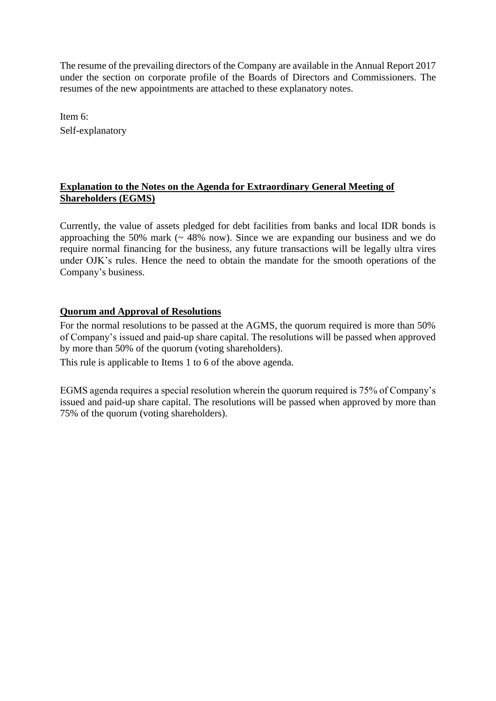The resume of the prevailing directors of the Company are available in the Annual Report 2017 under the section on corporate profile of the Boards of Directors and Commissioners. The resumes of the new appointments are attached to these explanatory notes.

Item 6: Self-explanatory

#### **Explanation to the Notes on the Agenda for Extraordinary General Meeting of Shareholders (EGMS)**

Currently, the value of assets pledged for debt facilities from banks and local IDR bonds is approaching the 50% mark  $($   $\sim$  48% now). Since we are expanding our business and we do require normal financing for the business, any future transactions will be legally ultra vires under OJK's rules. Hence the need to obtain the mandate for the smooth operations of the Company's business.

#### **Quorum and Approval of Resolutions**

For the normal resolutions to be passed at the AGMS, the quorum required is more than 50% of Company's issued and paid-up share capital. The resolutions will be passed when approved by more than 50% of the quorum (voting shareholders).

This rule is applicable to Items 1 to 6 of the above agenda.

EGMS agenda requires a special resolution wherein the quorum required is 75% of Company's issued and paid-up share capital. The resolutions will be passed when approved by more than 75% of the quorum (voting shareholders).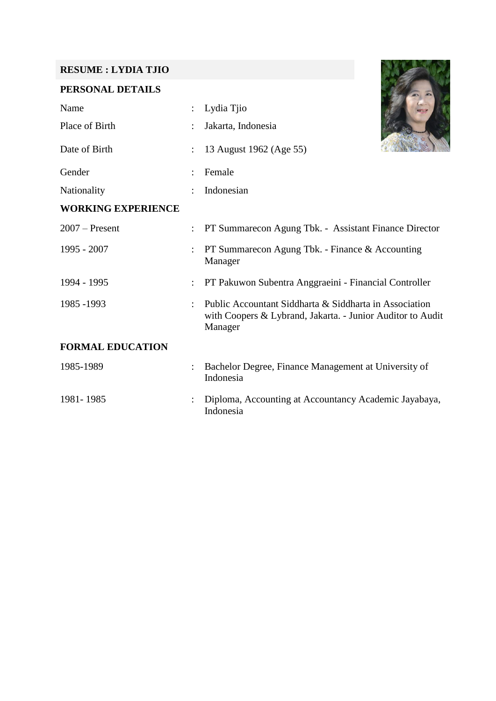# **RESUME : LYDIA TJIO**

## **PERSONAL DETAILS**

| Name                      |   | Lydia Tjio                                                                                                                      |
|---------------------------|---|---------------------------------------------------------------------------------------------------------------------------------|
| Place of Birth            |   | Jakarta, Indonesia                                                                                                              |
| Date of Birth             | ÷ | 13 August 1962 (Age 55)                                                                                                         |
| Gender                    |   | Female                                                                                                                          |
| Nationality               |   | Indonesian                                                                                                                      |
| <b>WORKING EXPERIENCE</b> |   |                                                                                                                                 |
| $2007$ – Present          |   | PT Summarecon Agung Tbk. - Assistant Finance Director                                                                           |
| 1995 - 2007               |   | PT Summarecon Agung Tbk. - Finance & Accounting<br>Manager                                                                      |
| 1994 - 1995               |   | PT Pakuwon Subentra Anggraeini - Financial Controller                                                                           |
| 1985 - 1993               |   | Public Accountant Siddharta & Siddharta in Association<br>with Coopers & Lybrand, Jakarta. - Junior Auditor to Audit<br>Manager |
| <b>FORMAL EDUCATION</b>   |   |                                                                                                                                 |
| 1985-1989                 |   | Bachelor Degree, Finance Management at University of<br>Indonesia                                                               |
| 1981-1985                 |   | Diploma, Accounting at Accountancy Academic Jayabaya,                                                                           |

Indonesia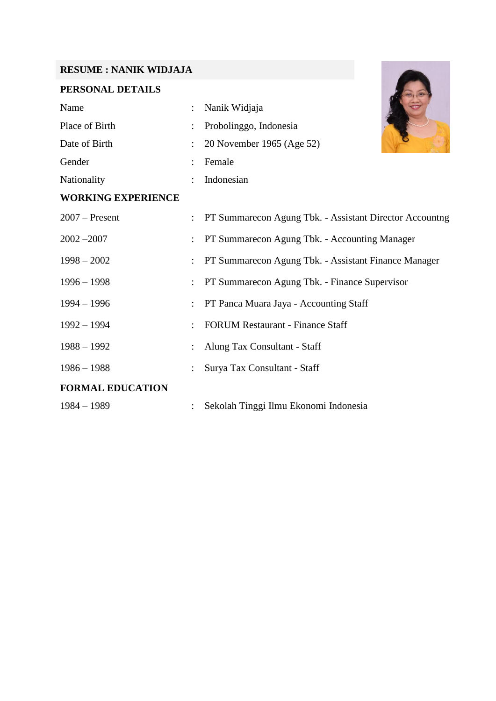## **RESUME : NANIK WIDJAJA**

# **PERSONAL DETAILS**

| <b>RESUME: NANIK WIDJAJA</b> |                                                         |
|------------------------------|---------------------------------------------------------|
| PERSONAL DETAILS             |                                                         |
| Name                         | Nanik Widjaja                                           |
| Place of Birth               | Probolinggo, Indonesia                                  |
| Date of Birth                | 20 November 1965 (Age 52)                               |
| Gender                       | Female                                                  |
| Nationality                  | Indonesian                                              |
| <b>WORKING EXPERIENCE</b>    |                                                         |
| $2007$ – Present             | PT Summarecon Agung Tbk. - Assistant Director Accountng |
| $2002 - 2007$                | PT Summarecon Agung Tbk. - Accounting Manager           |
| $1998 - 2002$                | PT Summarecon Agung Tbk. - Assistant Finance Manager    |
| $1996 - 1998$                | PT Summarecon Agung Tbk. - Finance Supervisor           |
| $1994 - 1996$                | PT Panca Muara Jaya - Accounting Staff                  |
| $1992 - 1994$                | <b>FORUM Restaurant - Finance Staff</b>                 |
| $1988 - 1992$                | Alung Tax Consultant - Staff                            |
| $1986 - 1988$                | Surya Tax Consultant - Staff                            |
| <b>FORMAL EDUCATION</b>      |                                                         |
| $1984 - 1989$                | Sekolah Tinggi Ilmu Ekonomi Indonesia                   |